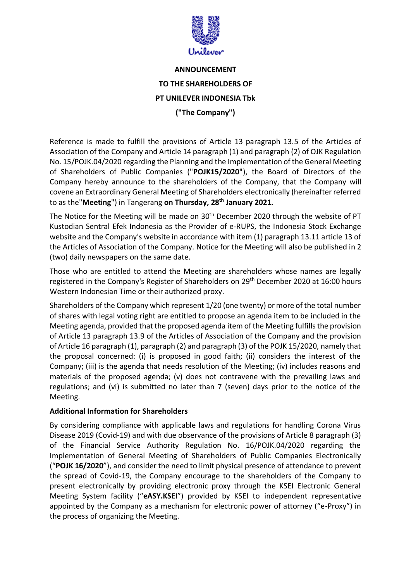

## **ANNOUNCEMENT TO THE SHAREHOLDERS OF PT UNILEVER INDONESIA Tbk ("The Company")**

Reference is made to fulfill the provisions of Article 13 paragraph 13.5 of the Articles of Association of the Company and Article 14 paragraph (1) and paragraph (2) of OJK Regulation No. 15/POJK.04/2020 regarding the Planning and the Implementation of the General Meeting of Shareholders of Public Companies ("**POJK15/2020"**), the Board of Directors of the Company hereby announce to the shareholders of the Company, that the Company will covene an Extraordinary General Meeting of Shareholders electronically (hereinafter referred to as the"**Meeting**") in Tangerang **on Thursday, 28th January 2021.**

The Notice for the Meeting will be made on 30<sup>th</sup> December 2020 through the website of PT Kustodian Sentral Efek Indonesia as the Provider of e-RUPS, the Indonesia Stock Exchange website and the Company's website in accordance with item (1) paragraph 13.11 article 13 of the Articles of Association of the Company. Notice for the Meeting will also be published in 2 (two) daily newspapers on the same date.

Those who are entitled to attend the Meeting are shareholders whose names are legally registered in the Company's Register of Shareholders on 29<sup>th</sup> December 2020 at 16:00 hours Western Indonesian Time or their authorized proxy.

Shareholders of the Company which represent 1/20 (one twenty) or more of the total number of shares with legal voting right are entitled to propose an agenda item to be included in the Meeting agenda, provided that the proposed agenda item of the Meeting fulfills the provision of Article 13 paragraph 13.9 of the Articles of Association of the Company and the provision of Article 16 paragraph (1), paragraph (2) and paragraph (3) of the POJK 15/2020, namely that the proposal concerned: (i) is proposed in good faith; (ii) considers the interest of the Company; (iii) is the agenda that needs resolution of the Meeting; (iv) includes reasons and materials of the proposed agenda; (v) does not contravene with the prevailing laws and regulations; and (vi) is submitted no later than 7 (seven) days prior to the notice of the Meeting.

## **Additional Information for Shareholders**

By considering compliance with applicable laws and regulations for handling Corona Virus Disease 2019 (Covid-19) and with due observance of the provisions of Article 8 paragraph (3) of the Financial Service Authority Regulation No. 16/POJK.04/2020 regarding the Implementation of General Meeting of Shareholders of Public Companies Electronically ("**POJK 16/2020**"), and consider the need to limit physical presence of attendance to prevent the spread of Covid-19, the Company encourage to the shareholders of the Company to present electronically by providing electronic proxy through the KSEI Electronic General Meeting System facility ("**eASY.KSEI**") provided by KSEI to independent representative appointed by the Company as a mechanism for electronic power of attorney ("e-Proxy") in the process of organizing the Meeting.